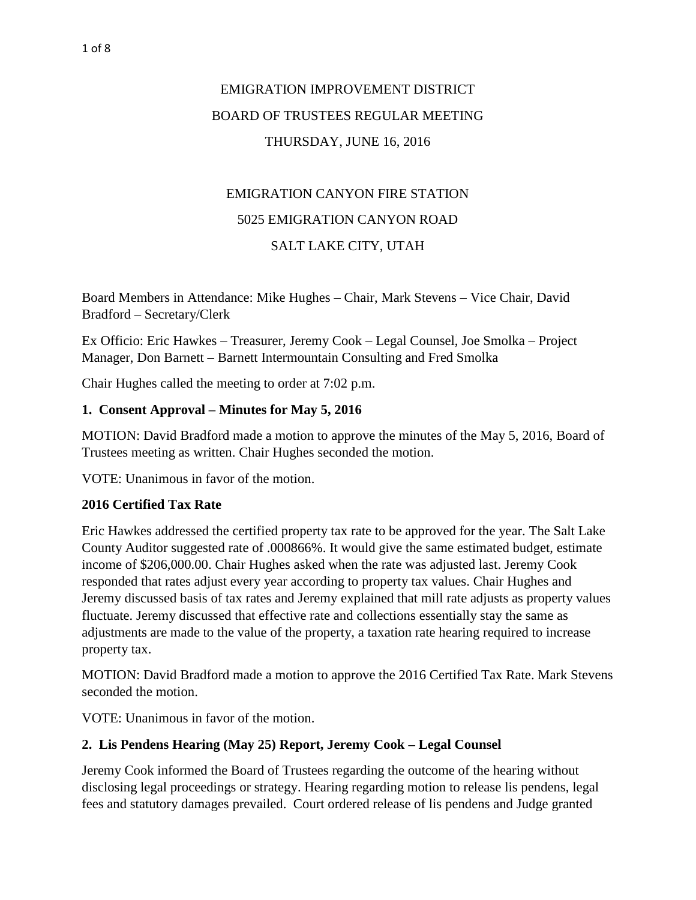# EMIGRATION IMPROVEMENT DISTRICT BOARD OF TRUSTEES REGULAR MEETING THURSDAY, JUNE 16, 2016

# EMIGRATION CANYON FIRE STATION 5025 EMIGRATION CANYON ROAD SALT LAKE CITY, UTAH

Board Members in Attendance: Mike Hughes – Chair, Mark Stevens – Vice Chair, David Bradford – Secretary/Clerk

Ex Officio: Eric Hawkes – Treasurer, Jeremy Cook – Legal Counsel, Joe Smolka – Project Manager, Don Barnett – Barnett Intermountain Consulting and Fred Smolka

Chair Hughes called the meeting to order at 7:02 p.m.

### **1. Consent Approval – Minutes for May 5, 2016**

MOTION: David Bradford made a motion to approve the minutes of the May 5, 2016, Board of Trustees meeting as written. Chair Hughes seconded the motion.

VOTE: Unanimous in favor of the motion.

### **2016 Certified Tax Rate**

Eric Hawkes addressed the certified property tax rate to be approved for the year. The Salt Lake County Auditor suggested rate of .000866%. It would give the same estimated budget, estimate income of \$206,000.00. Chair Hughes asked when the rate was adjusted last. Jeremy Cook responded that rates adjust every year according to property tax values. Chair Hughes and Jeremy discussed basis of tax rates and Jeremy explained that mill rate adjusts as property values fluctuate. Jeremy discussed that effective rate and collections essentially stay the same as adjustments are made to the value of the property, a taxation rate hearing required to increase property tax.

MOTION: David Bradford made a motion to approve the 2016 Certified Tax Rate. Mark Stevens seconded the motion.

VOTE: Unanimous in favor of the motion.

### **2. Lis Pendens Hearing (May 25) Report, Jeremy Cook – Legal Counsel**

Jeremy Cook informed the Board of Trustees regarding the outcome of the hearing without disclosing legal proceedings or strategy. Hearing regarding motion to release lis pendens, legal fees and statutory damages prevailed. Court ordered release of lis pendens and Judge granted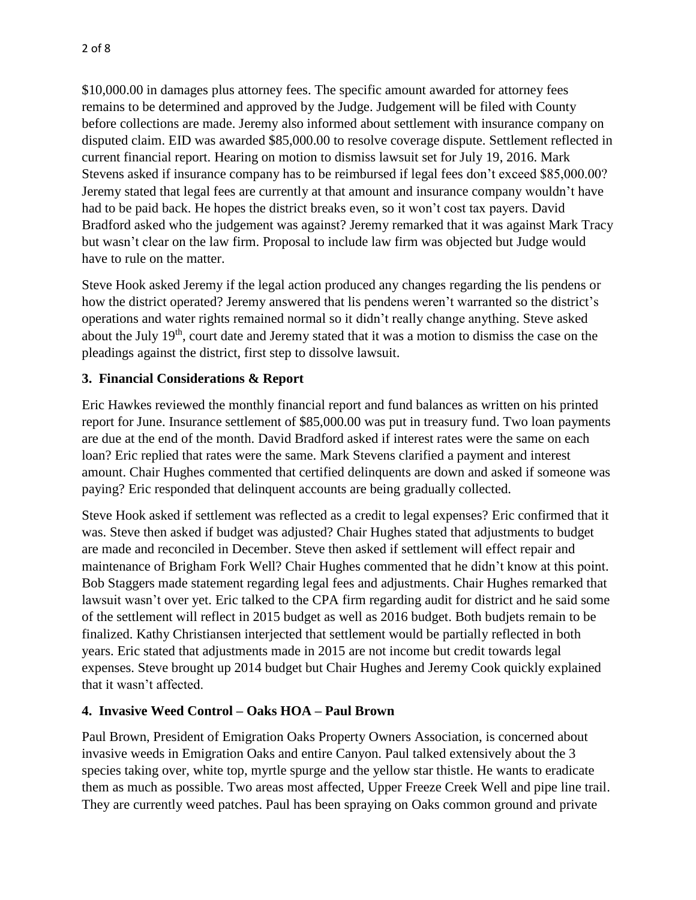\$10,000.00 in damages plus attorney fees. The specific amount awarded for attorney fees remains to be determined and approved by the Judge. Judgement will be filed with County before collections are made. Jeremy also informed about settlement with insurance company on disputed claim. EID was awarded \$85,000.00 to resolve coverage dispute. Settlement reflected in current financial report. Hearing on motion to dismiss lawsuit set for July 19, 2016. Mark Stevens asked if insurance company has to be reimbursed if legal fees don't exceed \$85,000.00? Jeremy stated that legal fees are currently at that amount and insurance company wouldn't have had to be paid back. He hopes the district breaks even, so it won't cost tax payers. David Bradford asked who the judgement was against? Jeremy remarked that it was against Mark Tracy but wasn't clear on the law firm. Proposal to include law firm was objected but Judge would have to rule on the matter.

Steve Hook asked Jeremy if the legal action produced any changes regarding the lis pendens or how the district operated? Jeremy answered that lis pendens weren't warranted so the district's operations and water rights remained normal so it didn't really change anything. Steve asked about the July 19<sup>th</sup>, court date and Jeremy stated that it was a motion to dismiss the case on the pleadings against the district, first step to dissolve lawsuit.

# **3. Financial Considerations & Report**

Eric Hawkes reviewed the monthly financial report and fund balances as written on his printed report for June. Insurance settlement of \$85,000.00 was put in treasury fund. Two loan payments are due at the end of the month. David Bradford asked if interest rates were the same on each loan? Eric replied that rates were the same. Mark Stevens clarified a payment and interest amount. Chair Hughes commented that certified delinquents are down and asked if someone was paying? Eric responded that delinquent accounts are being gradually collected.

Steve Hook asked if settlement was reflected as a credit to legal expenses? Eric confirmed that it was. Steve then asked if budget was adjusted? Chair Hughes stated that adjustments to budget are made and reconciled in December. Steve then asked if settlement will effect repair and maintenance of Brigham Fork Well? Chair Hughes commented that he didn't know at this point. Bob Staggers made statement regarding legal fees and adjustments. Chair Hughes remarked that lawsuit wasn't over yet. Eric talked to the CPA firm regarding audit for district and he said some of the settlement will reflect in 2015 budget as well as 2016 budget. Both budjets remain to be finalized. Kathy Christiansen interjected that settlement would be partially reflected in both years. Eric stated that adjustments made in 2015 are not income but credit towards legal expenses. Steve brought up 2014 budget but Chair Hughes and Jeremy Cook quickly explained that it wasn't affected.

# **4. Invasive Weed Control – Oaks HOA – Paul Brown**

Paul Brown, President of Emigration Oaks Property Owners Association, is concerned about invasive weeds in Emigration Oaks and entire Canyon. Paul talked extensively about the 3 species taking over, white top, myrtle spurge and the yellow star thistle. He wants to eradicate them as much as possible. Two areas most affected, Upper Freeze Creek Well and pipe line trail. They are currently weed patches. Paul has been spraying on Oaks common ground and private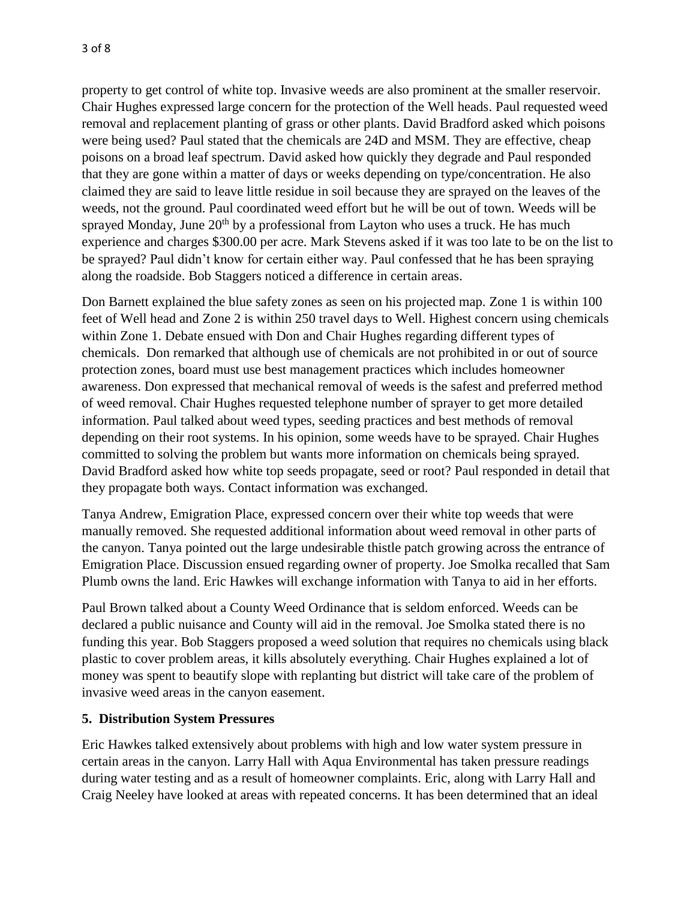property to get control of white top. Invasive weeds are also prominent at the smaller reservoir. Chair Hughes expressed large concern for the protection of the Well heads. Paul requested weed removal and replacement planting of grass or other plants. David Bradford asked which poisons were being used? Paul stated that the chemicals are 24D and MSM. They are effective, cheap poisons on a broad leaf spectrum. David asked how quickly they degrade and Paul responded that they are gone within a matter of days or weeks depending on type/concentration. He also claimed they are said to leave little residue in soil because they are sprayed on the leaves of the weeds, not the ground. Paul coordinated weed effort but he will be out of town. Weeds will be sprayed Monday, June  $20<sup>th</sup>$  by a professional from Layton who uses a truck. He has much experience and charges \$300.00 per acre. Mark Stevens asked if it was too late to be on the list to be sprayed? Paul didn't know for certain either way. Paul confessed that he has been spraying along the roadside. Bob Staggers noticed a difference in certain areas.

Don Barnett explained the blue safety zones as seen on his projected map. Zone 1 is within 100 feet of Well head and Zone 2 is within 250 travel days to Well. Highest concern using chemicals within Zone 1. Debate ensued with Don and Chair Hughes regarding different types of chemicals. Don remarked that although use of chemicals are not prohibited in or out of source protection zones, board must use best management practices which includes homeowner awareness. Don expressed that mechanical removal of weeds is the safest and preferred method of weed removal. Chair Hughes requested telephone number of sprayer to get more detailed information. Paul talked about weed types, seeding practices and best methods of removal depending on their root systems. In his opinion, some weeds have to be sprayed. Chair Hughes committed to solving the problem but wants more information on chemicals being sprayed. David Bradford asked how white top seeds propagate, seed or root? Paul responded in detail that they propagate both ways. Contact information was exchanged.

Tanya Andrew, Emigration Place, expressed concern over their white top weeds that were manually removed. She requested additional information about weed removal in other parts of the canyon. Tanya pointed out the large undesirable thistle patch growing across the entrance of Emigration Place. Discussion ensued regarding owner of property. Joe Smolka recalled that Sam Plumb owns the land. Eric Hawkes will exchange information with Tanya to aid in her efforts.

Paul Brown talked about a County Weed Ordinance that is seldom enforced. Weeds can be declared a public nuisance and County will aid in the removal. Joe Smolka stated there is no funding this year. Bob Staggers proposed a weed solution that requires no chemicals using black plastic to cover problem areas, it kills absolutely everything. Chair Hughes explained a lot of money was spent to beautify slope with replanting but district will take care of the problem of invasive weed areas in the canyon easement.

### **5. Distribution System Pressures**

Eric Hawkes talked extensively about problems with high and low water system pressure in certain areas in the canyon. Larry Hall with Aqua Environmental has taken pressure readings during water testing and as a result of homeowner complaints. Eric, along with Larry Hall and Craig Neeley have looked at areas with repeated concerns. It has been determined that an ideal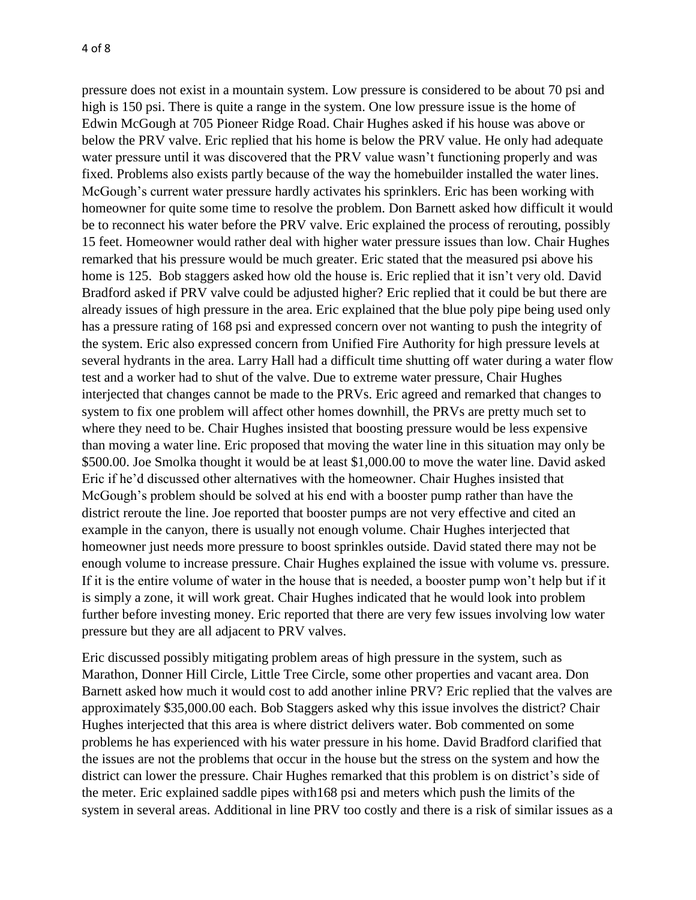pressure does not exist in a mountain system. Low pressure is considered to be about 70 psi and high is 150 psi. There is quite a range in the system. One low pressure issue is the home of Edwin McGough at 705 Pioneer Ridge Road. Chair Hughes asked if his house was above or below the PRV valve. Eric replied that his home is below the PRV value. He only had adequate water pressure until it was discovered that the PRV value wasn't functioning properly and was fixed. Problems also exists partly because of the way the homebuilder installed the water lines. McGough's current water pressure hardly activates his sprinklers. Eric has been working with homeowner for quite some time to resolve the problem. Don Barnett asked how difficult it would be to reconnect his water before the PRV valve. Eric explained the process of rerouting, possibly 15 feet. Homeowner would rather deal with higher water pressure issues than low. Chair Hughes remarked that his pressure would be much greater. Eric stated that the measured psi above his home is 125. Bob staggers asked how old the house is. Eric replied that it isn't very old. David Bradford asked if PRV valve could be adjusted higher? Eric replied that it could be but there are already issues of high pressure in the area. Eric explained that the blue poly pipe being used only has a pressure rating of 168 psi and expressed concern over not wanting to push the integrity of the system. Eric also expressed concern from Unified Fire Authority for high pressure levels at several hydrants in the area. Larry Hall had a difficult time shutting off water during a water flow test and a worker had to shut of the valve. Due to extreme water pressure, Chair Hughes interjected that changes cannot be made to the PRVs. Eric agreed and remarked that changes to system to fix one problem will affect other homes downhill, the PRVs are pretty much set to where they need to be. Chair Hughes insisted that boosting pressure would be less expensive than moving a water line. Eric proposed that moving the water line in this situation may only be \$500.00. Joe Smolka thought it would be at least \$1,000.00 to move the water line. David asked Eric if he'd discussed other alternatives with the homeowner. Chair Hughes insisted that McGough's problem should be solved at his end with a booster pump rather than have the district reroute the line. Joe reported that booster pumps are not very effective and cited an example in the canyon, there is usually not enough volume. Chair Hughes interjected that homeowner just needs more pressure to boost sprinkles outside. David stated there may not be enough volume to increase pressure. Chair Hughes explained the issue with volume vs. pressure. If it is the entire volume of water in the house that is needed, a booster pump won't help but if it is simply a zone, it will work great. Chair Hughes indicated that he would look into problem further before investing money. Eric reported that there are very few issues involving low water pressure but they are all adjacent to PRV valves.

Eric discussed possibly mitigating problem areas of high pressure in the system, such as Marathon, Donner Hill Circle, Little Tree Circle, some other properties and vacant area. Don Barnett asked how much it would cost to add another inline PRV? Eric replied that the valves are approximately \$35,000.00 each. Bob Staggers asked why this issue involves the district? Chair Hughes interjected that this area is where district delivers water. Bob commented on some problems he has experienced with his water pressure in his home. David Bradford clarified that the issues are not the problems that occur in the house but the stress on the system and how the district can lower the pressure. Chair Hughes remarked that this problem is on district's side of the meter. Eric explained saddle pipes with168 psi and meters which push the limits of the system in several areas. Additional in line PRV too costly and there is a risk of similar issues as a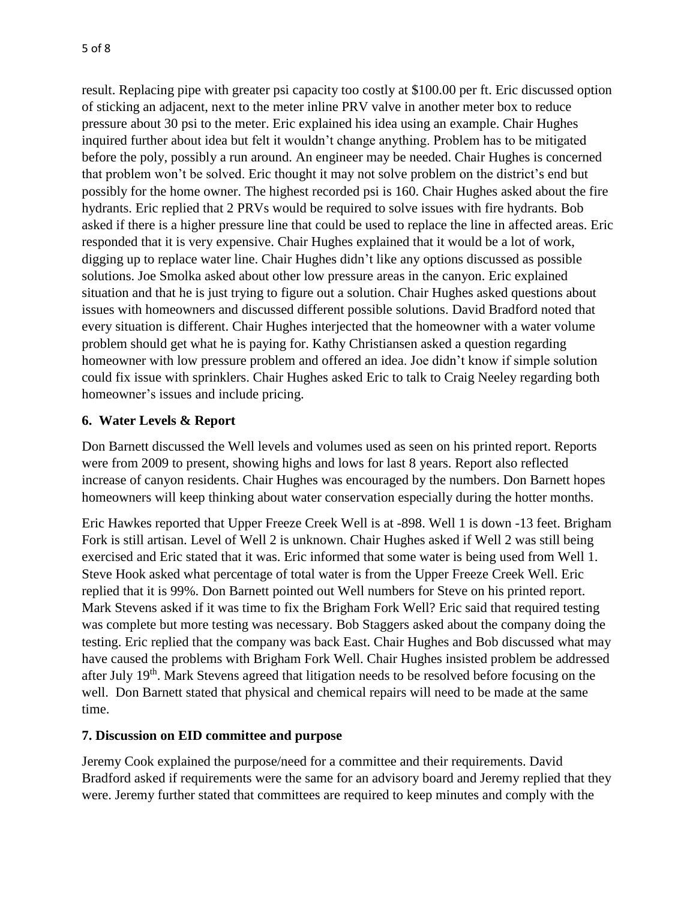result. Replacing pipe with greater psi capacity too costly at \$100.00 per ft. Eric discussed option of sticking an adjacent, next to the meter inline PRV valve in another meter box to reduce pressure about 30 psi to the meter. Eric explained his idea using an example. Chair Hughes inquired further about idea but felt it wouldn't change anything. Problem has to be mitigated before the poly, possibly a run around. An engineer may be needed. Chair Hughes is concerned that problem won't be solved. Eric thought it may not solve problem on the district's end but possibly for the home owner. The highest recorded psi is 160. Chair Hughes asked about the fire hydrants. Eric replied that 2 PRVs would be required to solve issues with fire hydrants. Bob asked if there is a higher pressure line that could be used to replace the line in affected areas. Eric responded that it is very expensive. Chair Hughes explained that it would be a lot of work, digging up to replace water line. Chair Hughes didn't like any options discussed as possible solutions. Joe Smolka asked about other low pressure areas in the canyon. Eric explained situation and that he is just trying to figure out a solution. Chair Hughes asked questions about issues with homeowners and discussed different possible solutions. David Bradford noted that every situation is different. Chair Hughes interjected that the homeowner with a water volume problem should get what he is paying for. Kathy Christiansen asked a question regarding homeowner with low pressure problem and offered an idea. Joe didn't know if simple solution could fix issue with sprinklers. Chair Hughes asked Eric to talk to Craig Neeley regarding both homeowner's issues and include pricing.

## **6. Water Levels & Report**

Don Barnett discussed the Well levels and volumes used as seen on his printed report. Reports were from 2009 to present, showing highs and lows for last 8 years. Report also reflected increase of canyon residents. Chair Hughes was encouraged by the numbers. Don Barnett hopes homeowners will keep thinking about water conservation especially during the hotter months.

Eric Hawkes reported that Upper Freeze Creek Well is at -898. Well 1 is down -13 feet. Brigham Fork is still artisan. Level of Well 2 is unknown. Chair Hughes asked if Well 2 was still being exercised and Eric stated that it was. Eric informed that some water is being used from Well 1. Steve Hook asked what percentage of total water is from the Upper Freeze Creek Well. Eric replied that it is 99%. Don Barnett pointed out Well numbers for Steve on his printed report. Mark Stevens asked if it was time to fix the Brigham Fork Well? Eric said that required testing was complete but more testing was necessary. Bob Staggers asked about the company doing the testing. Eric replied that the company was back East. Chair Hughes and Bob discussed what may have caused the problems with Brigham Fork Well. Chair Hughes insisted problem be addressed after July 19<sup>th</sup>. Mark Stevens agreed that litigation needs to be resolved before focusing on the well. Don Barnett stated that physical and chemical repairs will need to be made at the same time.

## **7. Discussion on EID committee and purpose**

Jeremy Cook explained the purpose/need for a committee and their requirements. David Bradford asked if requirements were the same for an advisory board and Jeremy replied that they were. Jeremy further stated that committees are required to keep minutes and comply with the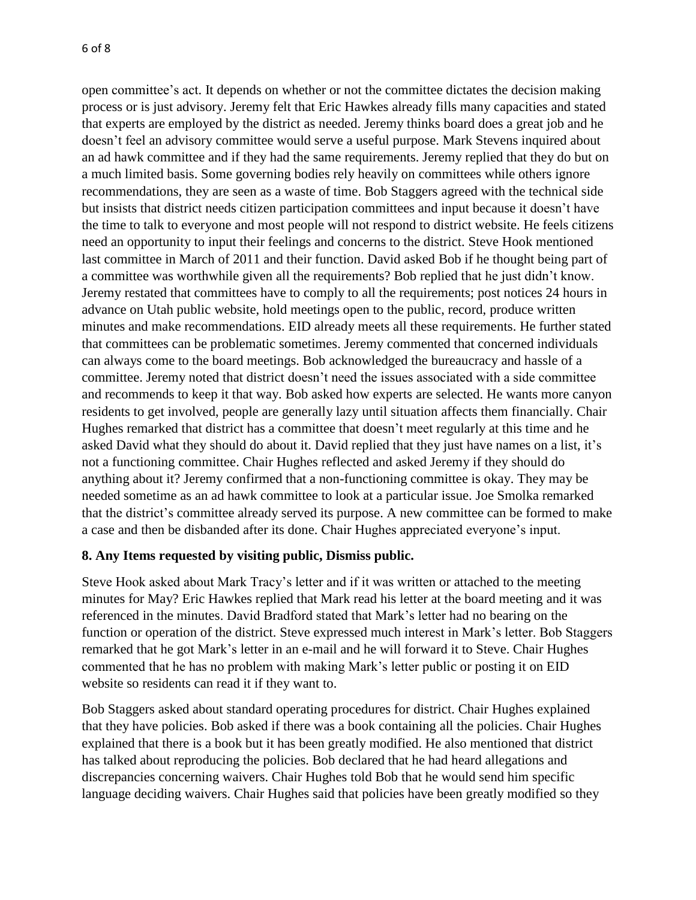open committee's act. It depends on whether or not the committee dictates the decision making process or is just advisory. Jeremy felt that Eric Hawkes already fills many capacities and stated that experts are employed by the district as needed. Jeremy thinks board does a great job and he doesn't feel an advisory committee would serve a useful purpose. Mark Stevens inquired about an ad hawk committee and if they had the same requirements. Jeremy replied that they do but on a much limited basis. Some governing bodies rely heavily on committees while others ignore recommendations, they are seen as a waste of time. Bob Staggers agreed with the technical side but insists that district needs citizen participation committees and input because it doesn't have the time to talk to everyone and most people will not respond to district website. He feels citizens need an opportunity to input their feelings and concerns to the district. Steve Hook mentioned last committee in March of 2011 and their function. David asked Bob if he thought being part of a committee was worthwhile given all the requirements? Bob replied that he just didn't know. Jeremy restated that committees have to comply to all the requirements; post notices 24 hours in advance on Utah public website, hold meetings open to the public, record, produce written minutes and make recommendations. EID already meets all these requirements. He further stated that committees can be problematic sometimes. Jeremy commented that concerned individuals can always come to the board meetings. Bob acknowledged the bureaucracy and hassle of a committee. Jeremy noted that district doesn't need the issues associated with a side committee and recommends to keep it that way. Bob asked how experts are selected. He wants more canyon residents to get involved, people are generally lazy until situation affects them financially. Chair Hughes remarked that district has a committee that doesn't meet regularly at this time and he asked David what they should do about it. David replied that they just have names on a list, it's not a functioning committee. Chair Hughes reflected and asked Jeremy if they should do anything about it? Jeremy confirmed that a non-functioning committee is okay. They may be needed sometime as an ad hawk committee to look at a particular issue. Joe Smolka remarked that the district's committee already served its purpose. A new committee can be formed to make a case and then be disbanded after its done. Chair Hughes appreciated everyone's input.

## **8. Any Items requested by visiting public, Dismiss public.**

Steve Hook asked about Mark Tracy's letter and if it was written or attached to the meeting minutes for May? Eric Hawkes replied that Mark read his letter at the board meeting and it was referenced in the minutes. David Bradford stated that Mark's letter had no bearing on the function or operation of the district. Steve expressed much interest in Mark's letter. Bob Staggers remarked that he got Mark's letter in an e-mail and he will forward it to Steve. Chair Hughes commented that he has no problem with making Mark's letter public or posting it on EID website so residents can read it if they want to.

Bob Staggers asked about standard operating procedures for district. Chair Hughes explained that they have policies. Bob asked if there was a book containing all the policies. Chair Hughes explained that there is a book but it has been greatly modified. He also mentioned that district has talked about reproducing the policies. Bob declared that he had heard allegations and discrepancies concerning waivers. Chair Hughes told Bob that he would send him specific language deciding waivers. Chair Hughes said that policies have been greatly modified so they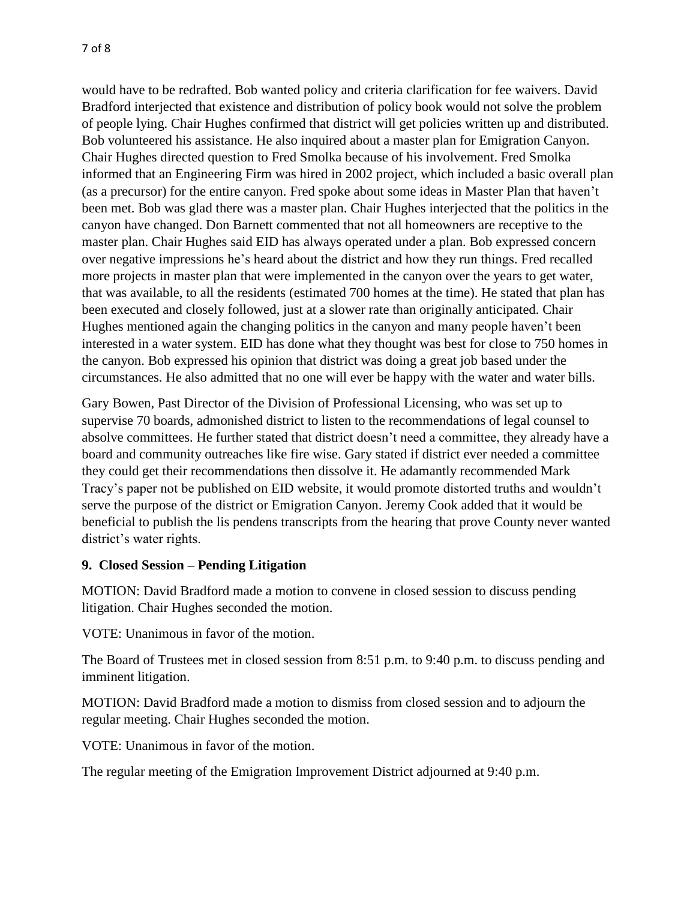would have to be redrafted. Bob wanted policy and criteria clarification for fee waivers. David Bradford interjected that existence and distribution of policy book would not solve the problem of people lying. Chair Hughes confirmed that district will get policies written up and distributed. Bob volunteered his assistance. He also inquired about a master plan for Emigration Canyon. Chair Hughes directed question to Fred Smolka because of his involvement. Fred Smolka informed that an Engineering Firm was hired in 2002 project, which included a basic overall plan (as a precursor) for the entire canyon. Fred spoke about some ideas in Master Plan that haven't been met. Bob was glad there was a master plan. Chair Hughes interjected that the politics in the canyon have changed. Don Barnett commented that not all homeowners are receptive to the master plan. Chair Hughes said EID has always operated under a plan. Bob expressed concern over negative impressions he's heard about the district and how they run things. Fred recalled more projects in master plan that were implemented in the canyon over the years to get water, that was available, to all the residents (estimated 700 homes at the time). He stated that plan has been executed and closely followed, just at a slower rate than originally anticipated. Chair Hughes mentioned again the changing politics in the canyon and many people haven't been interested in a water system. EID has done what they thought was best for close to 750 homes in the canyon. Bob expressed his opinion that district was doing a great job based under the circumstances. He also admitted that no one will ever be happy with the water and water bills.

Gary Bowen, Past Director of the Division of Professional Licensing, who was set up to supervise 70 boards, admonished district to listen to the recommendations of legal counsel to absolve committees. He further stated that district doesn't need a committee, they already have a board and community outreaches like fire wise. Gary stated if district ever needed a committee they could get their recommendations then dissolve it. He adamantly recommended Mark Tracy's paper not be published on EID website, it would promote distorted truths and wouldn't serve the purpose of the district or Emigration Canyon. Jeremy Cook added that it would be beneficial to publish the lis pendens transcripts from the hearing that prove County never wanted district's water rights.

## **9. Closed Session – Pending Litigation**

MOTION: David Bradford made a motion to convene in closed session to discuss pending litigation. Chair Hughes seconded the motion.

VOTE: Unanimous in favor of the motion.

The Board of Trustees met in closed session from 8:51 p.m. to 9:40 p.m. to discuss pending and imminent litigation.

MOTION: David Bradford made a motion to dismiss from closed session and to adjourn the regular meeting. Chair Hughes seconded the motion.

VOTE: Unanimous in favor of the motion.

The regular meeting of the Emigration Improvement District adjourned at 9:40 p.m.